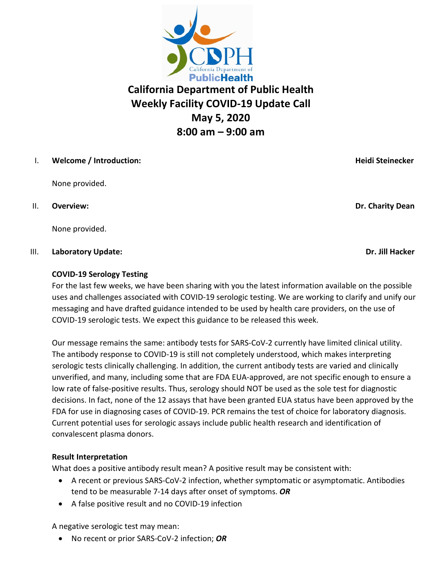

# **California Department of Public Health Weekly Facility COVID-19 Update Call May 5, 2020 8:00 am – 9:00 am**

# I. **Welcome / Introduction: Heidi Steinecker**

None provided.

None provided.

### III. **Laboratory Update: Dr. Jill Hacker**

### **COVID-19 Serology Testing**

For the last few weeks, we have been sharing with you the latest information available on the possible uses and challenges associated with COVID-19 serologic testing. We are working to clarify and unify our messaging and have drafted guidance intended to be used by health care providers, on the use of COVID-19 serologic tests. We expect this guidance to be released this week.

Our message remains the same: antibody tests for SARS-CoV-2 currently have limited clinical utility. The antibody response to COVID-19 is still not completely understood, which makes interpreting serologic tests clinically challenging. In addition, the current antibody tests are varied and clinically unverified, and many, including some that are FDA EUA-approved, are not specific enough to ensure a low rate of false-positive results. Thus, serology should NOT be used as the sole test for diagnostic decisions. In fact, none of the 12 assays that have been granted EUA status have been approved by the FDA for use in diagnosing cases of COVID-19. PCR remains the test of choice for laboratory diagnosis. Current potential uses for serologic assays include public health research and identification of convalescent plasma donors.

## **Result Interpretation**

What does a positive antibody result mean? A positive result may be consistent with:

- A recent or previous SARS-CoV-2 infection, whether symptomatic or asymptomatic. Antibodies tend to be measurable 7-14 days after onset of symptoms. *OR*
- A false positive result and no COVID-19 infection

A negative serologic test may mean:

• No recent or prior SARS-CoV-2 infection; *OR*

II. **Overview: Dr. Charity Dean**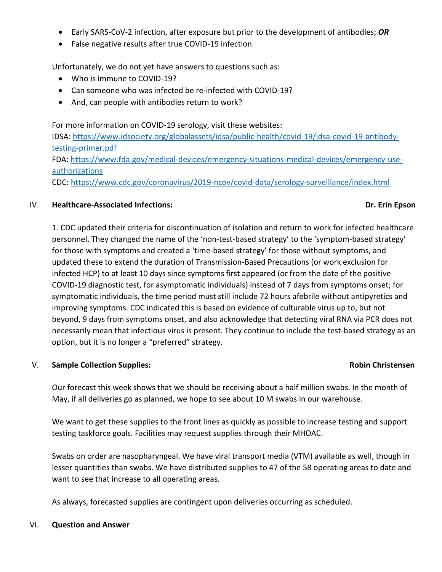- Early SARS-CoV-2 infection, after exposure but prior to the development of antibodies; *OR*
- False negative results after true COVID-19 infection

Unfortunately, we do not yet have answers to questions such as:

- Who is immune to COVID-19?
- Can someone who was infected be re-infected with COVID-19?
- And, can people with antibodies return to work?

For more information on COVID-19 serology, visit these websites: IDSA: [https://www.idsociety.org/globalassets/idsa/public-health/covid-19/idsa-covid-19-antibody](https://www.idsociety.org/globalassets/idsa/public-health/covid-19/idsa-covid-19-antibody-testing-primer.pdf)[testing-primer.pdf](https://www.idsociety.org/globalassets/idsa/public-health/covid-19/idsa-covid-19-antibody-testing-primer.pdf)  FDA: [https://www.fda.gov/medical-devices/emergency-situations-medical-devices/emergency-use](https://www.fda.gov/medical-devices/emergency-situations-medical-devices/emergency-use-authorizations)[authorizations](https://www.fda.gov/medical-devices/emergency-situations-medical-devices/emergency-use-authorizations) CDC:<https://www.cdc.gov/coronavirus/2019-ncov/covid-data/serology-surveillance/index.html>

### IV. **Healthcare-Associated Infections: Example 20 and 20 and 20 and 20 and 20 and 20 and 20 and 20 and 20 and 20 and 20 and 20 and 20 and 20 and 20 and 20 and 20 and 20 and 20 and 20 and 20 and 20 and 20 and 20 and 20 an**

1. CDC updated their criteria for discontinuation of isolation and return to work for infected healthcare personnel. They changed the name of the 'non-test-based strategy' to the 'symptom-based strategy' for those with symptoms and created a 'time-based strategy' for those without symptoms, and updated these to extend the duration of Transmission-Based Precautions (or work exclusion for infected HCP) to at least 10 days since symptoms first appeared (or from the date of the positive COVID-19 diagnostic test, for asymptomatic individuals) instead of 7 days from symptoms onset; for symptomatic individuals, the time period must still include 72 hours afebrile without antipyretics and improving symptoms. CDC indicated this is based on evidence of culturable virus up to, but not beyond, 9 days from symptoms onset, and also acknowledge that detecting viral RNA via PCR does not necessarily mean that infectious virus is present. They continue to include the test-based strategy as an option, but it is no longer a "preferred" strategy.

### V. Sample Collection Supplies: **Robin Christensen Robin Christensen**

Our forecast this week shows that we should be receiving about a half million swabs. In the month of May, if all deliveries go as planned, we hope to see about 10 M swabs in our warehouse.

We want to get these supplies to the front lines as quickly as possible to increase testing and support testing taskforce goals. Facilities may request supplies through their MHOAC.

Swabs on order are nasopharyngeal. We have viral transport media (VTM) available as well, though in lesser quantities than swabs. We have distributed supplies to 47 of the 58 operating areas to date and want to see that increase to all operating areas.

As always, forecasted supplies are contingent upon deliveries occurring as scheduled.

#### VI. **Question and Answer**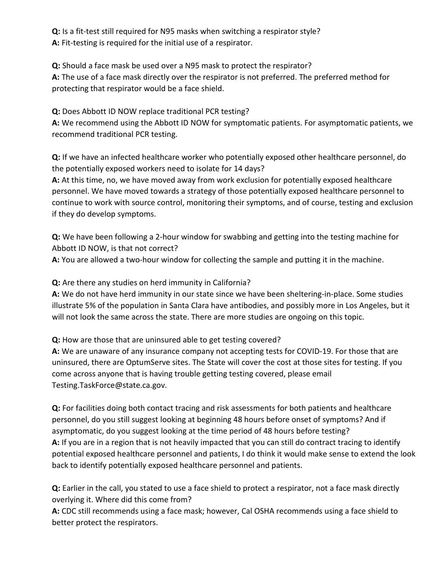**Q:** Is a fit-test still required for N95 masks when switching a respirator style? **A:** Fit-testing is required for the initial use of a respirator.

**Q:** Should a face mask be used over a N95 mask to protect the respirator?

**A:** The use of a face mask directly over the respirator is not preferred. The preferred method for protecting that respirator would be a face shield.

**Q:** Does Abbott ID NOW replace traditional PCR testing?

**A:** We recommend using the Abbott ID NOW for symptomatic patients. For asymptomatic patients, we recommend traditional PCR testing.

**Q:** If we have an infected healthcare worker who potentially exposed other healthcare personnel, do the potentially exposed workers need to isolate for 14 days?

**A:** At this time, no, we have moved away from work exclusion for potentially exposed healthcare personnel. We have moved towards a strategy of those potentially exposed healthcare personnel to continue to work with source control, monitoring their symptoms, and of course, testing and exclusion if they do develop symptoms.

**Q:** We have been following a 2-hour window for swabbing and getting into the testing machine for Abbott ID NOW, is that not correct?

**A:** You are allowed a two-hour window for collecting the sample and putting it in the machine.

**Q:** Are there any studies on herd immunity in California?

**A:** We do not have herd immunity in our state since we have been sheltering-in-place. Some studies illustrate 5% of the population in Santa Clara have antibodies, and possibly more in Los Angeles, but it will not look the same across the state. There are more studies are ongoing on this topic.

**Q:** How are those that are uninsured able to get testing covered?

**A:** We are unaware of any insurance company not accepting tests for COVID-19. For those that are uninsured, there are OptumServe sites. The State will cover the cost at those sites for testing. If you come across anyone that is having trouble getting testing covered, please email Testing.TaskForce@state.ca.gov.

**Q:** For facilities doing both contact tracing and risk assessments for both patients and healthcare personnel, do you still suggest looking at beginning 48 hours before onset of symptoms? And if asymptomatic, do you suggest looking at the time period of 48 hours before testing? **A:** If you are in a region that is not heavily impacted that you can still do contract tracing to identify potential exposed healthcare personnel and patients, I do think it would make sense to extend the look back to identify potentially exposed healthcare personnel and patients.

**Q:** Earlier in the call, you stated to use a face shield to protect a respirator, not a face mask directly overlying it. Where did this come from?

**A:** CDC still recommends using a face mask; however, Cal OSHA recommends using a face shield to better protect the respirators.